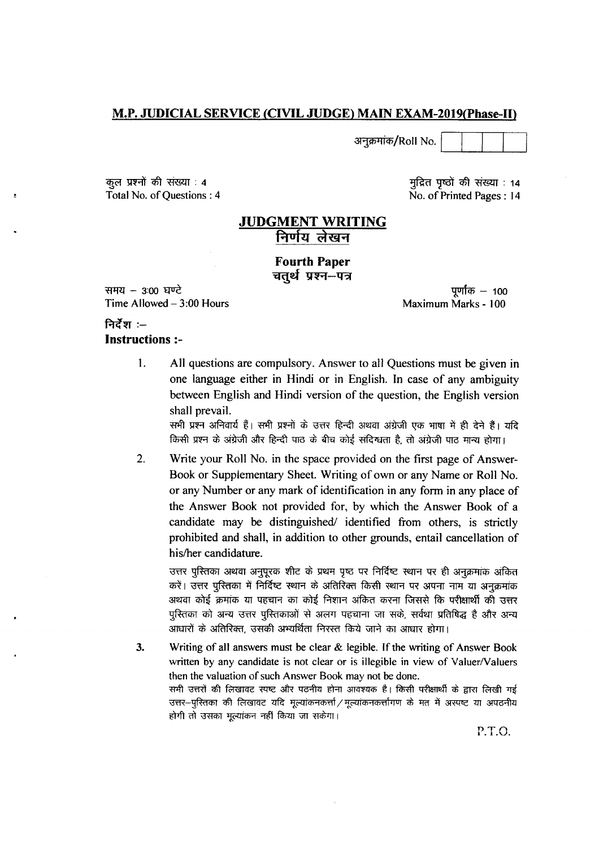#### M.P. JUDICIAL SERVICE (CIVIL JUDGE) MAIN EXAM-2019 (Phase-II)

अनुक्रमांक/Roll No.

कुल प्रश्नों की संख्या : 4 Total No. of Questions: 4

मुद्रित पृष्ठों की संख्या : 14 No. of Printed Pages: 14

#### **JUDGMENT WRITING** निर्णय लेखन

#### **Fourth Paper** चतुर्थ प्रश्न–पत्र

समय - 3:00 घण्टे Time Allowed  $-3:00$  Hours

पूर्णांक  $-$  100 Maximum Marks - 100

#### निर्देश :--**Instructions:-**

 $1<sub>1</sub>$ All questions are compulsory. Answer to all Questions must be given in one language either in Hindi or in English. In case of any ambiguity between English and Hindi version of the question, the English version shall prevail.

सभी प्रश्न अनिवार्य हैं। सभी प्रश्नों के उत्तर हिन्दी अथवा अंग्रेजी एक भाषा में ही देने हैं। यदि किसी प्रश्न के अंग्रेजी और हिन्दी पाठ के बीच कोई संदिग्धता है, तो अंग्रेजी पाठ मान्य होगा।

 $2.$ Write your Roll No. in the space provided on the first page of Answer-Book or Supplementary Sheet. Writing of own or any Name or Roll No. or any Number or any mark of identification in any form in any place of the Answer Book not provided for, by which the Answer Book of a candidate may be distinguished/ identified from others, is strictly prohibited and shall, in addition to other grounds, entail cancellation of his/her candidature.

उत्तर पुस्तिका अथवा अनुपूरक शीट के प्रथम पृष्ठ पर निर्दिष्ट स्थान पर ही अनुक्रमांक अंकित करें। उत्तर पुस्तिका में निर्दिष्ट स्थान के अतिरिक्त किसी स्थान पर अपना नाम या अनुक्रमांक अथवा कोई क्रमांक या पहचान का कोई निशान अंकित करना जिससे कि परीक्षार्थी की उत्तर पुस्तिका को अन्य उत्तर पुस्तिकाओं से अलग पहचाना जा सके, सर्वथा प्रतिषिद्ध है और अन्य आधारों के अतिरिक्त, उसकी अभ्यर्थिता निरस्त किये जाने का आधार होगा।

3. Writing of all answers must be clear & legible. If the writing of Answer Book written by any candidate is not clear or is illegible in view of Valuer/Valuers then the valuation of such Answer Book may not be done. सभी उत्तरों की लिखावट स्पष्ट और पठनीय होना आवश्यक है। किसी परीक्षार्थी के द्वारा लिखी गई उत्तर--पुस्तिका की लिखावट यदि मूल्यांकनकर्त्ता / मूल्यांकनकर्त्तागण के मत में अस्पष्ट या अपठनीय होगी तो उसका मूल्यांकन नहीं किया जा सकेगा।

P.T.O.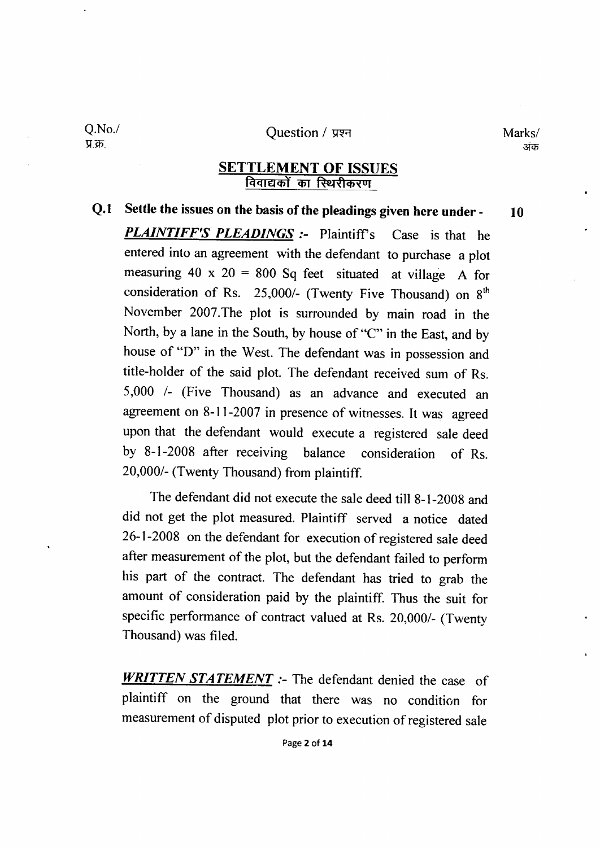#### Question / प्रश्न

Q.No./ प्र.क्र.

# **SETTLEMENT OF ISSUES**<br>विवाद्यकों का स्थिरीकरण

#### Q.1 Settle the issues on the basis of the pleadings given here under -10

**PLAINTIFF'S PLEADINGS** :- Plaintiff's Case is that he entered into an agreement with the defendant to purchase a plot measuring  $40 \times 20 = 800$  Sq feet situated at village A for consideration of Rs. 25,000/- (Twenty Five Thousand) on  $8<sup>th</sup>$ November 2007.The plot is surrounded by main road in the North, by a lane in the South, by house of "C" in the East, and by house of "D" in the West. The defendant was in possession and title-holder of the said plot. The defendant received sum of Rs. 5,000 /- (Five Thousand) as an advance and executed an agreement on 8-11-2007 in presence of witnesses. It was agreed upon that the defendant would execute a registered sale deed by 8-I-2008 after receiving balance consideration of Rs. 20,000/- (Twenty Thousand) from plaintiff.

The defendant did not execute the sale deed till 8-I -2008 and did not get the plot measured. Plaintiff served a notice dated 26-1 -2008 on the defendant for execution of registered sale deed after measurement of the plot, but the defendant failed to perform his part of the contract. The defendant has tried to grab the amount of consideration paid by the plaintiff. Thus the suit for specific performance of contract valued at Rs. 20,000/- (Twenty Thousand) was filed.

WRITTEN STATEMENT :- The defendant denied the case of plaintiff on the ground that there was no condition for measurement of disputed plot prior to execution of registered sale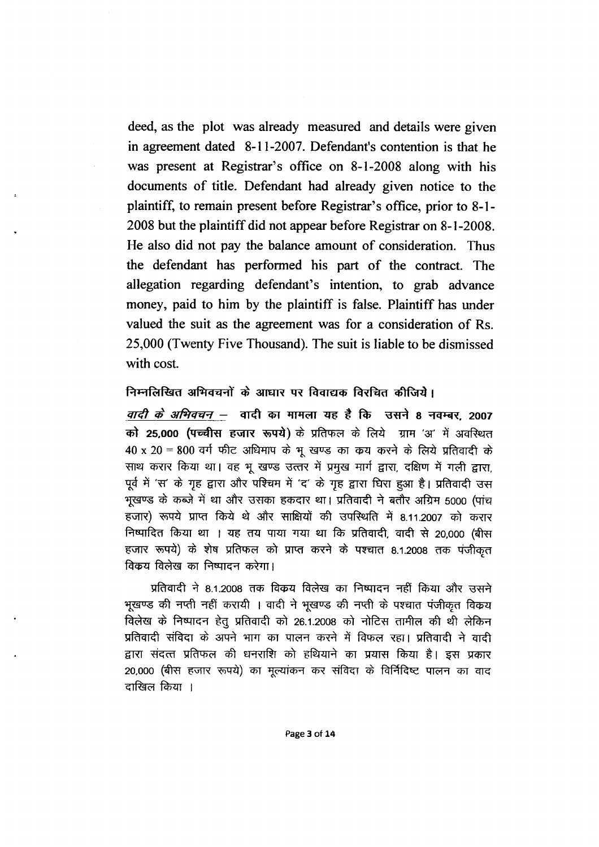deed, as the plot was already measured and details were given in agreement dated 8-11-2007. Defendant's contention is that he was present at Registrar's office on 8-1-2008 along with his documents of title. Defendant had already given notice to the plaintiff, to remain present before Registrar's office, prior to 8-1-2008 but the plaintiff did not appear before Registrar on 8-1-2008. He also did not pay the balance amount of consideration. Thus the defendant has performed his part of the contract. The allegation regarding defendant's intention, to grab advance money, paid to him by the plaintiff is false. Plaintiff has under valued the suit as the agreement was for a consideration of Rs. 25,000 (Twenty Five Thousand). The suit is liable to be dismissed with cost.

#### निम्नलिखित अभिवचनों के आधार पर विवाद्यक विरचित कीजिये।

*वादी के अभिवचन* – वादी का मामला यह है कि उसने 8 नवम्बर, 2007 को 25,000 (पच्चीस हजार रूपये) के प्रतिफल के लिये ग्राम 'अ' में अवस्थित  $40 \times 20 = 800$  वर्ग फीट अधिमाप के भूखण्ड का कय करने के लिये प्रतिवादी के साथ करार किया था। वह भू खण्ड उत्तर में प्रमुख मार्ग द्वारा, दक्षिण में गली द्वारा, पूर्व में 'स' के गृह द्वारा और पश्चिम में 'द' के गृह द्वारा घिरा हुआ है। प्रतिवादी उस भूखण्ड के कब्जे में था और उसका हकदार था। प्रतिवादी ने बतौर अग्रिम 5000 (पांच हजार) रूपये प्राप्त किये थे और साक्षियों की उपस्थिति में 8.11.2007 को करार निष्पादित किया था । यह तय पाया गया था कि प्रतिवादी, वादी से 20,000 (बीस हजार रूपये) के शेष प्रतिफल को प्राप्त करने के पश्चात 8.1.2008 तक पंजीकृत विकय विलेख का निष्पादन करेगा।

प्रतिवादी ने 8.1.2008 तक विक्रय विलेख का निष्पादन नहीं किया और उसने भूखण्ड की नप्ती नहीं करायी । वादी ने भूखण्ड की नप्ती के पश्चात पंजीकृत विक्रय विलेख के निष्पादन हेतू प्रतिवादी को 26.1.2008 को नोटिस तामील की थी लेकिन प्रतिवादी संविदा के अपने भाग का पालन करने में विफल रहा। प्रतिवादी ने वादी द्वारा संदत्त प्रतिफल की धनराशि को हथियाने का प्रयास किया है। इस प्रकार 20,000 (बीस हजार रूपये) का मुल्यांकन कर संविदा के विर्निदिष्ट पालन का वाद दाखिल किया ।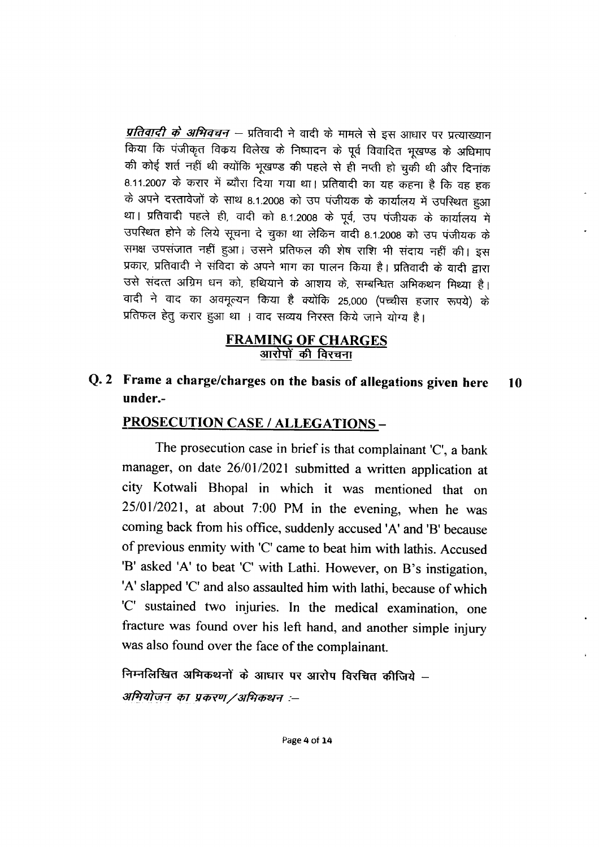*प्रतिवादी के अभिवचन —* प्रतिवादी ने वादी के मामले से इस आधार पर प्रत्याख्यान किया कि पंजीकृत विक्रय विलेख के निष्पादन के पूर्व विवादित भूखण्ड के अधिमाप की कोई शर्त नहीं थी क्योंकि भूखण्ड की पहले से ही नप्ती हो चुकी थी और दिनांक 8.11.2007 के करार में ब्यौरा दिया गया था। प्रतिवादी का यह कहना है कि वह हक के अपने दस्तावेजों के साथ 8.1.2008 को उप पंजीयक के कार्यालय में उपस्थित हुआ था। प्रतिवादी पहले ही, वादी को 8.1.2008 के पूर्व, उप पंजीयक के कार्यालय में उपस्थित होने के लिये सूचना दे चुका था लेकिन वादी 8.1.2008 को उप पंजीयक के समक्ष उपसंजात नहीं हुआ। उसने प्रतिफल की शेष राशि भी संदाय नहीं की। इस प्रकार, प्रतिवादी ने संविदा के अपने भाग का पालन किया है। प्रतिवादी के वादी द्वारा उसे संदत्त अग्रिम धन को, हथियाने के आशय के, सम्बन्धित अभिकथन मिथ्या है। वादी ने वाद का अवमूल्यन किया है क्योंकि 25,000 (पच्चीस हजार रूपये) के प्रतिफल हेतु करार हुआ था । वाद सव्यय निरस्त किये जाने योग्य है।

# **FRAMING OF CHARGES** आरोपों की विरचना

Q. 2 Frame a charge/charges on the basis of allegations given here 10 under.-

# PROSECUTION CASE / ALLEGATIONS-

The prosecution case in brief is that complainant 'C', a bank manager, on date 26/01/2021 submitted a written application at city Kotwali Bhopal in which it was mentioned that on 25/01/2021, at about 7:00 PM in the evening, when he was coming back from his office, suddenly accused 'A' and 'B' because of previous enmity with 'C' came to beat him with lathis. Accused 'B' asked 'A' to beat 'C' with Lathi. However, on B's instigation, 'A' slapped 'C' and also assaulted him with lathi, because of which 'C' sustained two injuries. In the medical examination, one fracture was found over his left hand, and another simple injury was also found over the face of the complainant.

निम्नलिखित अमिकथनों के आधार पर आरोप विरचित कीजिये – अभियोजन का प्रकरण/अभिकथन :--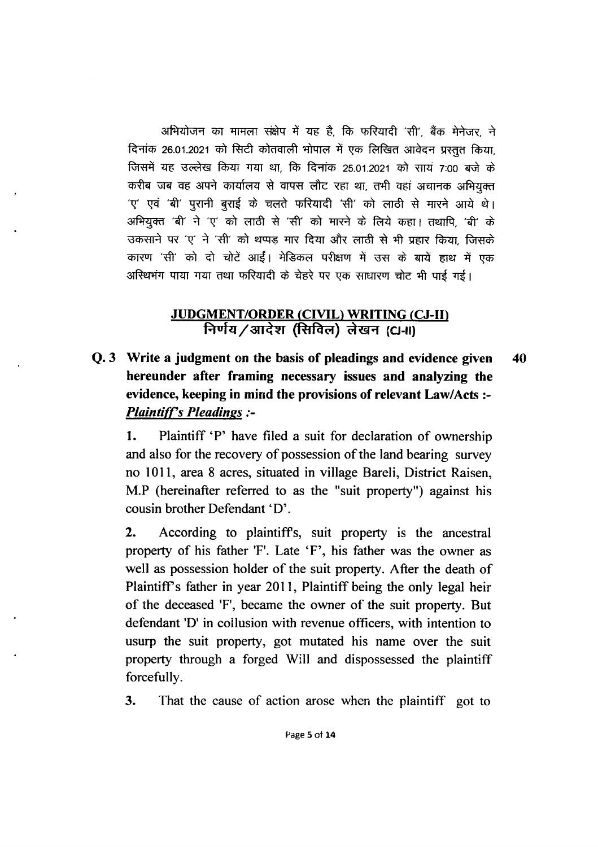अभियोजन का मामला संक्षेप में यह है, कि फरियादी 'सी', बैंक मेनेजर, ने दिनांक 26.01.2021 को सिटी कोतवाली भोपाल में एक लिखित आवेदन प्रस्तुत किया. जिसमें यह उल्लेख किया गया था, कि दिनांक 25.01.2021 को सायं 7:00 बजे के करीब जब वह अपने कार्यालय से वापस लौट रहा था, तभी वहां अचानक अभियुक्त 'ए' एवं 'बी' पुरानी बुराई के चलते फरियादी 'सी' को लाठी से मारने आये थे। अभियुक्त 'बी' ने 'ए' को लाठी से 'सी' को मारने के लिये कहा। तथापि, 'बी' के उकसाने पर 'ए' ने 'सी' को थप्पड मार दिया और लाठी से भी प्रहार किया, जिसके कारण 'सी' को दो चोटें आईं। मेडिकल परीक्षण में उस के बायें हाथ में एक अस्थिमंग पाया गया तथा फरियादी के चेहरे पर एक साधारण चोट भी पाई गई।

# JUDGMENT/ORDER (CIVIL) WRITING (CJ-II) निर्णय/आदेश (सिविल) लेखन (CJ-II)

Q. 3 Write a judgment on the basis of pleadings and evidence given 40 hereunder after framing necessary issues and analyzing the evidence, keeping in mind the provisions of relevant Law/Acts :- **Plaintiff's Pleadings:-**

1. Plaintiff 'P' have filed a suit for declaration of ownership and also for the recovery of possession of the land bearing survey no loll, area 8 acres, situated in village Bareli, District Raisen, M.P (hereinafter referred to as the "suit property") against his cousin brother Defendant 'D'.

2. According to plaintiffs, suit property is the ancestral property of his father 'F'. Late `F', his father was the owner as well as possession holder of the suit property. After the death of Plaintiff's father in year 2011, Plaintiff being the only legal heir of the deceased 'F', became the owner of the suit property. But defendant 'D' in collusion with revenue officers, with intention to usurp the suit property, got mutated his name over the suit property through a forged Will and dispossessed the plaintiff forcefully.

3. That the cause of action arose when the plaintiff got to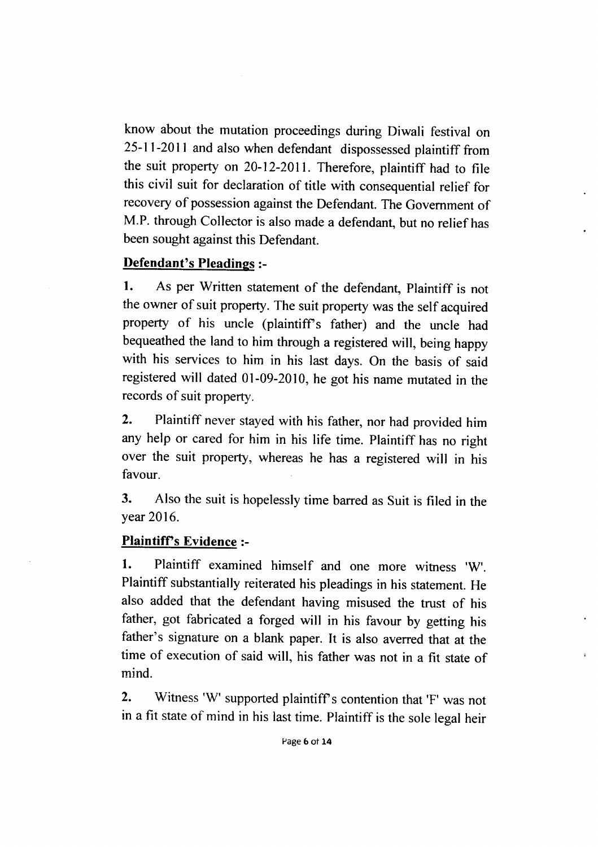know about the mutation proceedings during Diwali festival on 25-11-2011 and also when defendant dispossessed plaintiff from the suit property on 20-12-2011. Therefore, plaintiff had to file this civil suit for declaration of title with consequential relief for recovery of possession against the Defendant. The Government of M.P. through Collector is also made a defendant, but no relief has been sought against this Defendant.

# Defendant's Pleadings :-

1. As per Written statement of the defendant, Plaintiff is not the owner of suit property. The suit property was the self acquired property of his uncle (plaintiff's father) and the uncle had bequeathed the land to him through a registered will, being happy with his services to him in his last days. On the basis of said registered will dated 01-09-2010, he got his name mutated in the records of suit property.

2. Plaintiff never stayed with his father, nor had provided him any help or cared for him in his life time. Plaintiff has no right over the suit property, whereas he has a registered will in his favour.

3. Also the suit is hopelessly time barred as Suit is filed in the year 2016.

# Plaintiff's Evidence :-

I. Plaintiff examined himself and one more witness 'W'. Plaintiff substantially reiterated his pleadings in his statement. He also added that the defendant having misused the trust of his father, got fabricated a forged will in his favour by getting his father's signature on a blank paper. It is also averred that at the time of execution of said will, his father was not in a fit state of mind.

2. Witness 'W' supported plaintiff's contention that 'F' was not in a fit state of mind in his last time. Plaintiff is the sole legal heir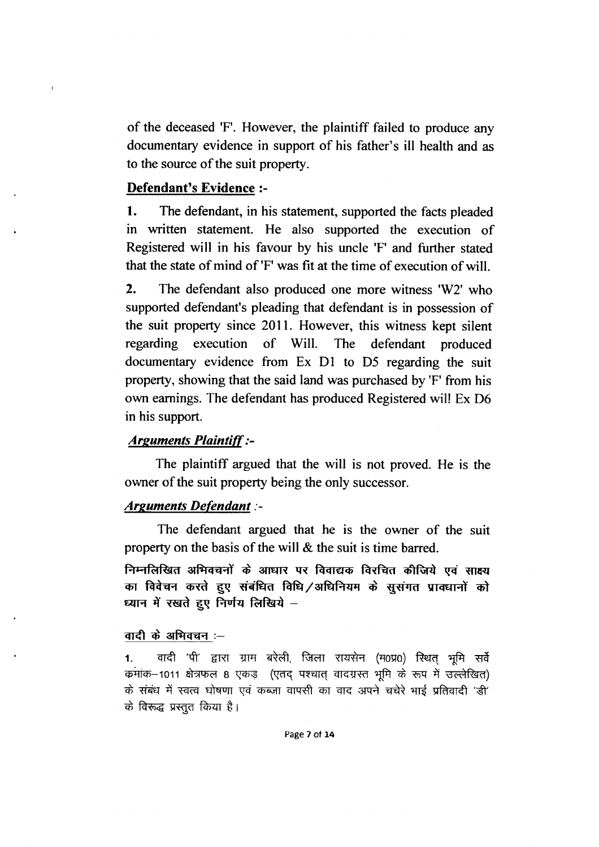of the deceased 'F'. However, the plaintiff failed to produce any documentary evidence in support of his father's ill health and as to the source of the suit property.

#### Defendant's Evidence :-

1. The defendant, in his statement, supported the facts pleaded in written statement. He also supported the execution of Registered will in his favour by his uncle 'F' and further stated that the state of mind of 'F' was fit at the time of execution of will.

 $2.$ The defendant also produced one more witness 'W2' who supported defendant's pleading that defendant is in possession of the suit property since 2011. However, this witness kept silent regarding execution of Will. **The** defendant produced documentary evidence from Ex D1 to D5 regarding the suit property, showing that the said land was purchased by 'F' from his own earnings. The defendant has produced Registered will Ex D6 in his support.

#### **Arguments Plaintiff:-**

The plaintiff argued that the will is not proved. He is the owner of the suit property being the only successor.

#### **Arguments Defendant :-**

The defendant argued that he is the owner of the suit property on the basis of the will & the suit is time barred.

निम्नलिखित अभिवचनों के आधार पर विवाद्यक विरचित कीजिये एवं साक्ष्य का विवेचन करते हुए संबंधित विधि/अधिनियम के सूसंगत प्रावधानों को ध्यान में रखते हुए निर्णय लिखिये -

#### वादी के अभिवचन :-

वादी 'पी' द्वारा ग्राम बरेली, जिला रायसेन (म0प्र0) स्थित भूमि सर्वे  $1<sup>1</sup>$ कमांक-1011 क्षेत्रफल 8 एकड़ (एतद पश्चात वादग्रस्त भूमि के रूप में उल्लेखित) के संबंध में स्वत्व घोषणा एवं कब्जा वापसी का वाद अपने चचेरे भाई प्रतिवादी 'डी' के विरूद्ध प्रस्तुत किया है।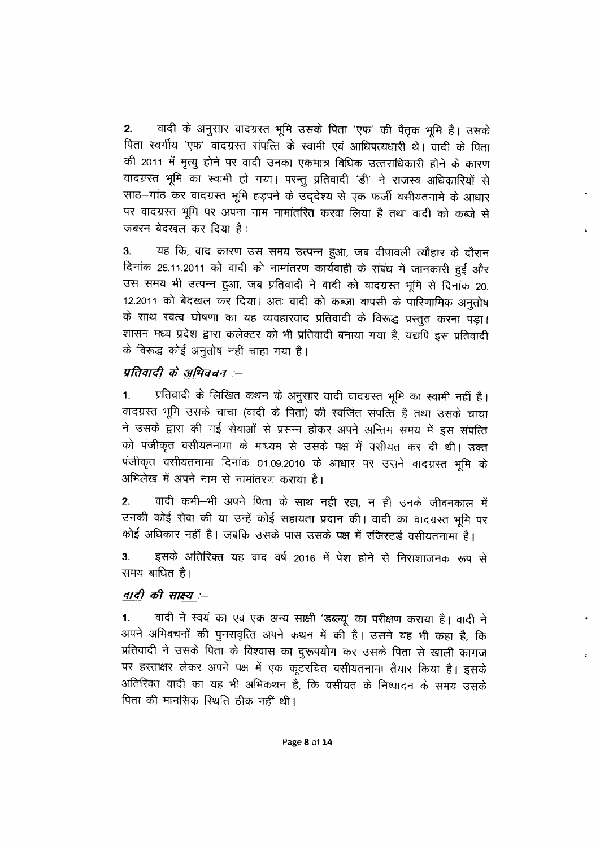वादी के अनुसार वादग्रस्त भूमि उसके पिता 'एफ' की पैतृक भूमि है। उसके  $2.$ पिता स्वर्गीय 'एफ' वादग्रस्त संपत्ति के स्वामी एवं आधिपत्यधारी थे। वादी के पिता की 2011 में मृत्यू होने पर वादी उनका एकमात्र विधिक उत्तराधिकारी होने के कारण वादग्रस्त भूमि का स्वामी हो गया। परन्तु प्रतिवादी 'डी' ने राजस्व अधिकारियों से साठ-गांठ कर वादग्रस्त भूमि हड़पने के उद्देश्य से एक फर्जी वसीयतनामे के आधार पर वादग्रस्त भूमि पर अपना नाम नामांतरित करवा लिया है तथा वादी को कब्जे से जबरन बेदखल कर दिया है।

यह कि, वाद कारण उस समय उत्पन्न हुआ, जब दीपावली त्यौहार के दौरान  $3.$ दिनांक 25.11.2011 को वादी को नामांतरण कार्यवाही के संबंध में जानकारी हुई और उस समय भी उत्पन्न हुआ, जब प्रतिवादी ने वादी को वादग्रस्त भूमि से दिनांक 20. 12.2011 को बेदखल कर दिया। अतः वादी को कब्ज़ा वापसी के पारिणामिक अनुतोष के साथ स्वत्व घोषणा का यह व्यवहारवाद प्रतिवादी के विरूद्ध प्रस्तुत करना पड़ा। शासन मध्य प्रदेश द्वारा कलेक्टर को भी प्रतिवादी बनाया गया है, यद्यपि इस प्रतिवादी के विरूद्ध कोई अनुतोष नहीं चाहा गया है।

#### प्रतिवादी के अभिवचन :--

प्रतिवादी के लिखित कथन के अनुसार वादी वादग्रस्त भूमि का स्वामी नहीं है।  $1.$ वादग्रस्त भूमि उसके चाचा (वादी के पिता) की स्वर्जित संपत्ति है तथा उसके चाचा ने उसके द्वारा की गई सेवाओं से प्रसन्न होकर अपने अन्तिम समय में इस संपत्ति को पंजीकृत वसीयतनामा के माध्यम से उसके पक्ष में वसीयत कर दी थी। उक्त पंजीकृत वसीयतनामा दिनांक 01.09.2010 के आधार पर उसने वादग्रस्त भूमि के अभिलेख में अपने नाम से नामांतरण कराया है।

वादी कभी-भी अपने पिता के साथ नहीं रहा, न ही उनके जीवनकाल में  $2.$ उनकी कोई सेवा की या उन्हें कोई सहायता प्रदान की। वादी का वादग्रस्त भूमि पर कोई अधिकार नहीं है। जबकि उसके पास उसके पक्ष में रजिस्टर्ड वसीयतनामा है।

इसके अतिरिक्त यह वाद वर्ष 2016 में पेश होने से निराशाजनक रूप से  $3<sub>1</sub>$ समय बाधित है।

#### वादी की साक्ष्य :--

वादी ने स्वयं का एवं एक अन्य साक्षी 'डब्ल्यू' का परीक्षण कराया है। वादी ने  $1.$ अपने अभिवचनों की पुनरावृत्ति अपने कथन में की है। उसने यह भी कहा है, कि प्रतिवादी ने उसके पिता के विश्वास का दुरूपयोग कर उसके पिता से खाली कागज पर हस्ताक्षर लेकर अपने पक्ष में एक कूटरचित वसीयतनामा तैयार किया है। इसके अतिरिक्त वादी का यह भी अभिकथन है, कि वसीयत के निष्पादन के समय उसके पिता की मानसिक स्थिति ठीक नहीं थी।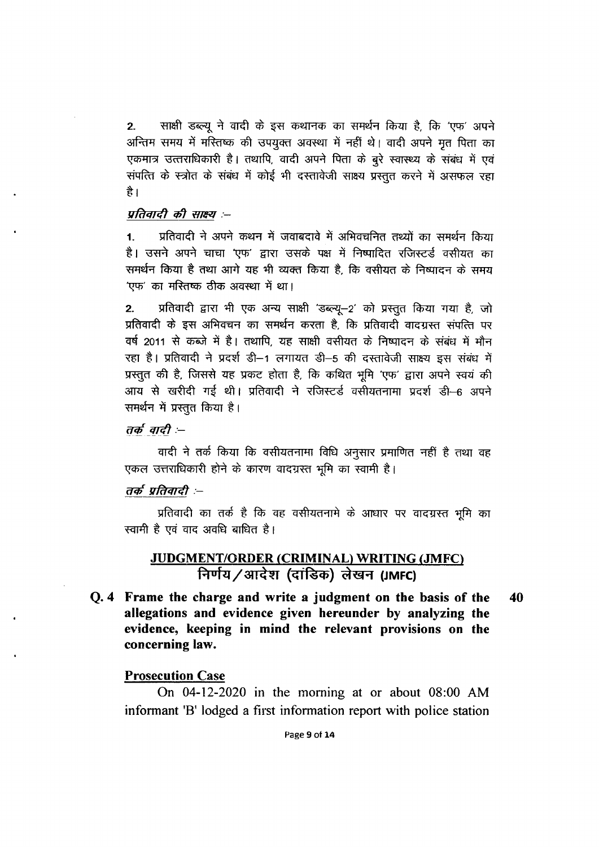साक्षी डब्ल्यू ने वादी के इस कथानक का समर्थन किया है, कि 'एफ' अपने  $2.$ अन्तिम समय में मस्तिष्क की उपयुक्त अवस्था में नहीं थे। वादी अपने मृत पिता का एकमात्र उत्तराधिकारी है। तथापि, वादी अपने पिता के बुरे स्वास्थ्य के संबंध में एवं संपत्ति के स्त्रोत के संबंध में कोई भी दस्तावेजी साक्ष्य प्रस्तुत करने में असफल रहा है।

#### प्रतिवादी की साक्ष्य :--

प्रतिवादी ने अपने कथन में जवाबदावे में अभिवचनित तथ्यों का समर्थन किया  $\mathbf{1}$ . है। उसने अपने चाचा 'एफ' द्वारा उसके पक्ष में निष्पादित रजिस्टर्ड वसीयत का समर्थन किया है तथा आगे यह भी व्यक्त किया है, कि वसीयत के निष्पादन के समय 'एफ' का मस्तिष्क ठीक अवस्था में था।

प्रतिवादी द्वारा भी एक अन्य साक्षी 'डब्ल्यू-2' को प्रस्तुत किया गया है, जो  $2.$ प्रतिवादी के इस अभिवचन का समर्थन करता है, कि प्रतिवादी वादग्रस्त संपत्ति पर वर्ष 2011 से कब्जे में है। तथापि, यह साक्षी वसीयत के निष्पादन के संबंध में मौन रहा है। प्रतिवादी ने प्रदर्श डी-1 लगायत डी-5 की दस्तावेजी साक्ष्य इस संबंध में प्रस्तुत की है, जिससे यह प्रकट होता है, कि कथित भूमि 'एफ' द्वारा अपने स्वयं की आय से खरीदी गई थी। प्रतिवादी ने रजिस्टर्ड वसीयतनामा प्रदर्श डी-6 अपने समर्थन में प्रस्तुत किया है।

तर्क वादी :--

वादी ने तर्क किया कि वसीयतनामा विधि अनुसार प्रमाणित नहीं है तथा वह एकल उत्तराधिकारी होने के कारण वादग्रस्त भूमि का स्वामी है।

#### तर्क प्रतिवादी :-

प्रतिवादी का तर्क है कि वह वसीयतनामे के आधार पर वादग्रस्त भूमि का स्वामी है एवं वाद अवधि बाधित है।

# JUDGMENT/ORDER (CRIMINAL) WRITING (JMFC) निर्णय/आदेश (दांडिक) लेखन (JMFC)

Q. 4 Frame the charge and write a judgment on the basis of the 40 allegations and evidence given hereunder by analyzing the evidence, keeping in mind the relevant provisions on the concerning law.

#### **Prosecution Case**

On 04-12-2020 in the morning at or about 08:00 AM informant 'B' lodged a first information report with police station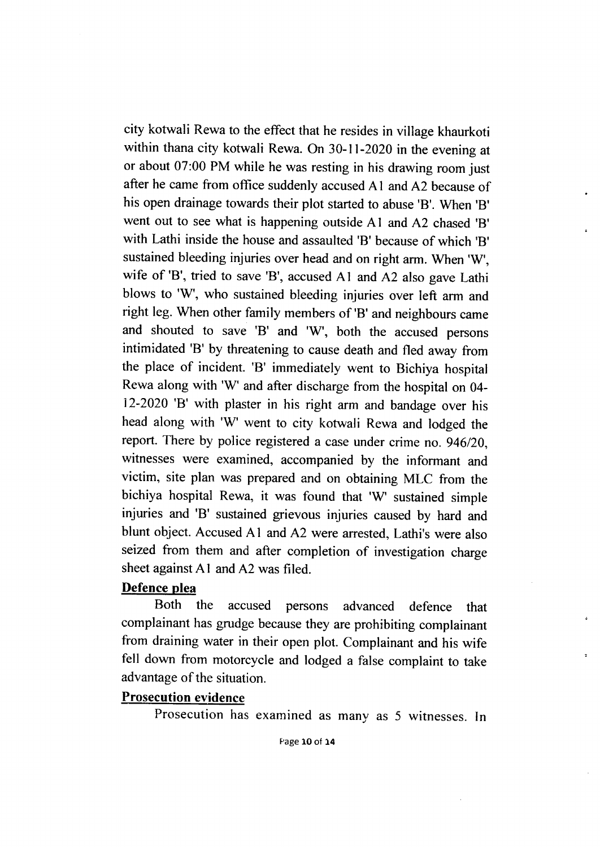city kotwali Rewa to the effect that he resides in village khaurkoti within thana city kotwali Rewa. On 30-11-2020 in the evening at or about 07:00 PM while he was resting in his drawing room just after he came from office suddenly accused A I and A2 because of his open drainage towards their plot started to abuse '8'. When '8' went out to see what is happening outside Al and A2 chased '8' with Lathi inside the house and assaulted '8' because of which '8' sustained bleeding injuries over head and on right arm. When 'W', wife of 'B', tried to save 'B', accused A1 and A2 also gave Lathi blows to 'W', who sustained bleeding injuries over left arm and right leg. When other family members of '8' and neighbours came and shouted to save 'B' and 'W', both the accused persons intimidated '8' by threatening to cause death and fled away from the place of incident. '8' immediately went to Bichiya hospital Rewa along with 'W' and after discharge from the hospital on 04- 12-2020 '8' with plaster in his right arm and bandage over his head along with 'W' went to city kotwali Rewa and lodged the report. There by police registered a case under crime no. 946/20, witnesses were examined, accompanied by the informant and victim, site plan was prepared and on obtaining MLC from the bichiya hospital Rewa, it was found that 'W' sustained simple injuries and '8' sustained grievous injuries caused by hard and blunt object. Accused Al and A2 were arrested, Lathi's were also seized from them and after completion of investigation change sheet against Al and A2 was filed.

# Defence plea

Both the accused persons advanced defence that complainant has grudge because they are prohibiting complainant from draining water in their open plot. Complainant and his wife fell down from motorcycle and lodged a false complaint to take advantage of the situation.

# Prosecution evidence

Prosecution has examined as many as 5 witnesses. In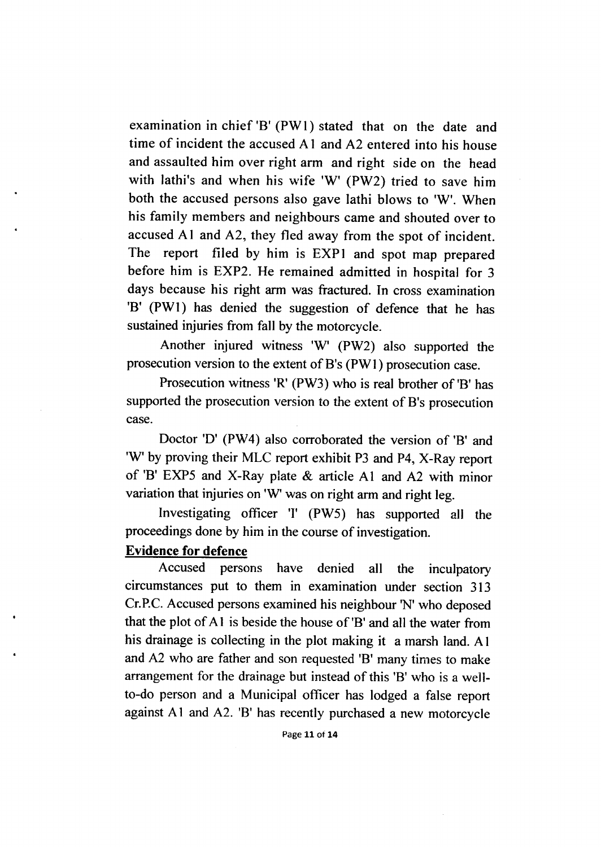examination in chief 'B' (Pwl) stated that on the date and time of incident the accused Al and A2 entered into his house and assaulted him over right arm and right side on the head with lathi's and when his wife 'W' (PW2) tried to save him both the accused persons also gave lathi blows to 'W'. When his family members and neighbours came and shouted over to accused Al and A2, they fled away from the spot of incident. The report filed by him is EXpl and spot map prepared before him is EXP2. He remained admitted in hospital for 3 days because his right arm was fractured. In cross examination '8' (Pwl) has denied the suggestion of defence that he has sustained injuries from fall by the motorcycle.

Another injured witness 'W' (PW2) also supported the prosecution version to the extent of B's (Pwl ) prosecution case.

Prosecution witness 'R' (PW3) who is real brother of '8' has supported the prosecution version to the extent of B's prosecution Case.

Doctor 'D' (PW4) also corroborated the version of '8' and 'W' by proving their MLC report exhibit P3 and P4, X-Ray report of '8' EXP5 and X-Ray plate & article Al and A2 with minor variation that injuries on 'W' was on right arm and right leg.

Investigating officer '1' (PW5) has supported all the proceedings done by him in the course of investigation.

#### Evidence for defence

Accused persons have denied all the inculpatory circumstances put to them in examination under section 313 Cr.P.C. Accused persons examined his neighbour 'N' who deposed that the plot of A I is beside the house of '8' and all the water from his drainage is collecting in the plot making it a marsh land. Al and A2 who are father and son requested '8' many times to make arrangement for the drainage but instead of this '8' who is a wellto-do person and a Municipal officer has lodged a false report against A1 and A2. 'B' has recently purchased a new motorcycle

Page 11 ot 14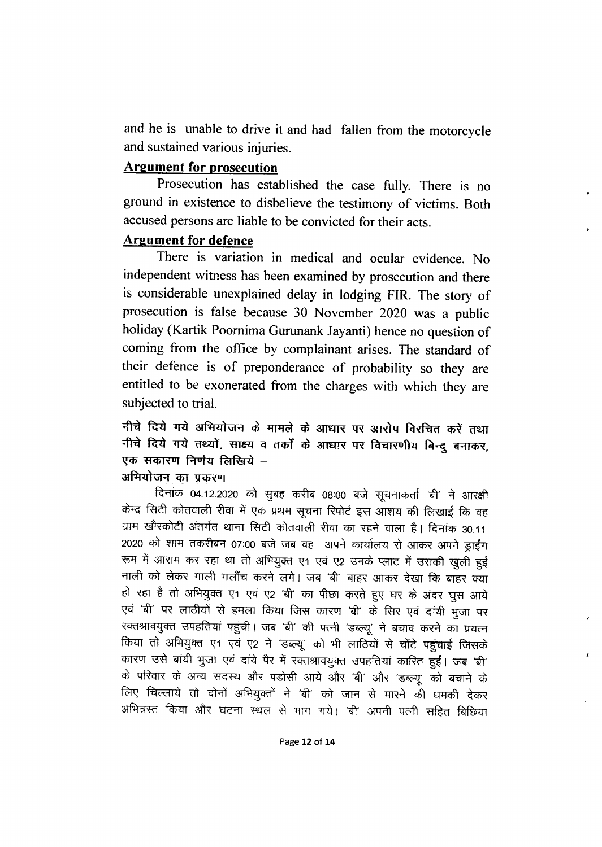and he is unable to drive it and had fallen from the motorcycle and sustained various injuries.

# **Argument for prosecution**

Prosecution has established the case fully. There is no ground in existence to disbelieve the testimony of victims. Both accused persons are liable to be convicted for their acts.

# **Argument for defence**

There is variation in medical and ocular evidence. No independent witness has been examined by prosecution and there is considerable unexplained delay in lodging FIR. The story of prosecution is false because 30 November 2020 was a public holiday (Kartik Poornima Gurunank Jayanti) hence no question of coming from the office by complainant arises. The standard of their defence is of preponderance of probability so they are entitled to be exonerated from the charges with which they are subjected to trial.

नीचे दिये गये अभियोजन के मामले के आधार पर आरोप विरचित करें तथा नीचे दिये गये तथ्यों, साक्ष्य व तर्कों के आधार पर विचारणीय बिन्दु बनाकर, एक सकारण निर्णय लिखिये -

#### अभियोजन का प्रकरण

दिनांक 04.12.2020 को सुबह करीब 08:00 बजे सूचनाकर्ता 'बी' ने आरक्षी केन्द्र सिटी कोतवाली रीवा में एक प्रथम सूचना रिपोर्ट इस आशय की लिखाई कि वह ग्राम खौरकोटी अंतर्गत थाना सिटी कोतवाली रीवा का रहने वाला है। दिनांक 30.11. 2020 को शाम तकरीबन 07:00 बजे जब वह अपने कार्यालय से आकर अपने ड्राईंग रूम में आराम कर रहा था तो अभियुक्त ए1 एवं ए2 उनके प्लाट में उसकी खुली हुई नाली को लेकर गाली गलौंच करने लगे। जब 'बी' बाहर आकर देखा कि बाहर क्या हो रहा है तो अभियुक्त ए1 एवं ए2 'बी' का पीछा करते हुए घर के अंदर घुस आये एवं 'बी' पर लाठीयों से हमला किया जिस कारण 'बी' के सिर एवं दांयी भुजा पर रक्तश्रावयुक्त उपहतियां पहुंची। जब 'बी' की पत्नी 'डब्ल्यू' ने बचाव करने का प्रयत्न किया तो अभियुक्त ए1 एवं ए2 ने 'डब्ल्यू' को भी लाठियों से चोंटे पहुंचाई जिसके कारण उसे बांयी भुजा एवं दांये पैर में रक्तश्रावयुक्त उपहतियां कारित हुईं। जब 'बी' के परिवार के अन्य सदस्य और पड़ोसी आये और 'बी' और 'डब्ल्यू' को बचाने के लिए चिल्लाये तो दोनों अभियुक्तों ने 'बी' को जान से मारने की धमकी देकर अभित्रस्त किया और घटना स्थल से भाग गये। 'बी' अपनी पत्नी सहित बिछिया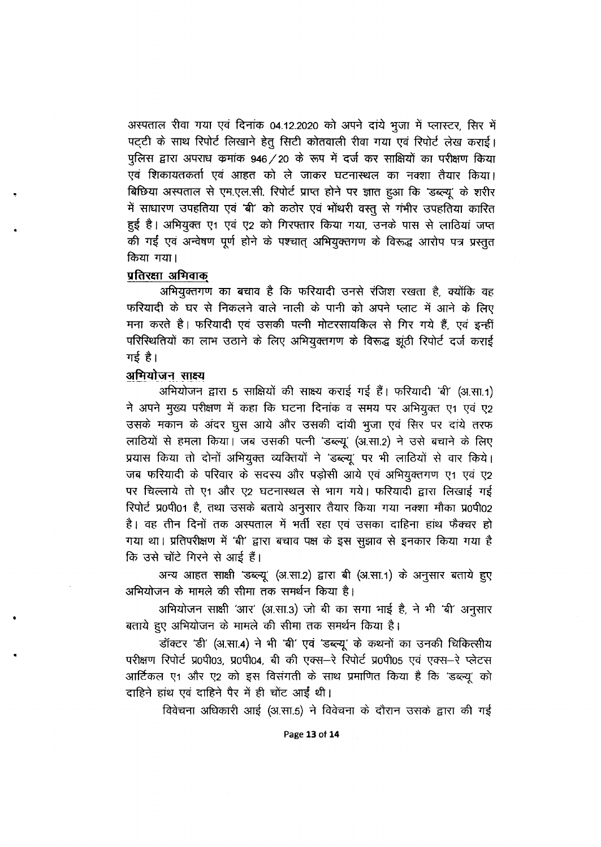अस्पताल रीवा गया एवं दिनांक 04.12.2020 को अपने दांये भूजा में प्लास्टर, सिर में पट्टी के साथ रिपोर्ट लिखाने हेतू सिटी कोतवाली रीवा गया एवं रिपोर्ट लेख कराई। पुलिस द्वारा अपराध कमांक 946 / 20 के रूप में दर्ज कर साक्षियों का परीक्षण किया एवं शिकायतकर्ता एवं आहत को ले जाकर घटनास्थल का नक्शा तैयार किया। बिछिया अस्पताल से एम.एल.सी. रिपोर्ट प्राप्त होने पर ज्ञात हुआ कि 'डब्ल्यू' के शरीर में साधारण उपहतिया एवं 'बी' को कठोर एवं भोंथरी वस्तु से गंभीर उपहतिया कारित हुई है। अभियुक्त ए1 एवं ए2 को गिरफ्तार किया गया, उनके पास से लाठियां जप्त की गईं एवं अन्वेषण पूर्ण होने के पश्चात् अभियुक्तगण के विरूद्ध आरोप पत्र प्रस्तुत किया गया।

#### प्रतिरक्षा अभिवाक

अभियुक्तगण का बचाव है कि फरियादी उनसे रंजिश रखता है, क्योंकि वह फरियादी के घर से निकलने वाले नाली के पानी को अपने प्लाट में आने के लिए मना करते है। फरियादी एवं उसकी पत्नी मोटरसायकिल से गिर गये हैं, एवं इन्हीं परिस्थितियों का लाभ उठाने के लिए अभियुक्तगण के विरूद्ध झूंठी रिपोर्ट दर्ज कराई गई है।

# अभियोजन साक्ष्य

अभियोजन द्वारा 5 साक्षियों की साक्ष्य कराई गई हैं। फरियादी 'बी' (अ.सा.1) ने अपने मुख्य परीक्षण में कहा कि घटना दिनांक व समय पर अभियुक्त ए1 एवं ए2 उसके मकान के अंदर घुस आये और उसकी दांयी भुजा एवं सिर पर दांये तरफ लाठियों से हमला किया। जब उसकी पत्नी 'डब्ल्यू' (अ.सा.2) ने उसे बचाने के लिए प्रयास किया तो दोनों अभियुक्त व्यक्तियों ने 'डब्ल्यू' पर भी लाठियों से वार किये। जब फरियादी के परिवार के सदस्य और पड़ोसी आये एवं अभियुक्तगण ए1 एवं ए2 पर चिल्लाये तो ए1 और ए2 घटनास्थल से भाग गये। फरियादी द्वारा लिखाई गई रिपोर्ट प्र0पी01 है, तथा उसके बताये अनुसार तैयार किया गया नक्शा मौका प्र0पी02 है। वह तीन दिनों तक अस्पताल में भर्ती रहा एवं उसका दाहिना हांथ फैक्चर हो गया था। प्रतिपरीक्षण में 'बी' द्वारा बचाव पक्ष के इस सुझाव से इनकार किया गया है कि उसे चोंटे गिरने से आई हैं।

अन्य आहत साक्षी 'डब्ल्यू' (अ.सा.2) द्वारा बी (अ.सा.1) के अनुसार बताये हुए अभियोजन के मामले की सीमा तक समर्थन किया है।

अभियोजन साक्षी 'आर' (अ.सा.3) जो बी का सगा भाई है, ने भी 'बी' अनुसार बताये हुए अभियोजन के मामले की सीमा तक समर्थन किया है।

डॉक्टर 'डी' (अ.सा.4) ने भी 'बी' एवं 'डब्ल्यू' के कथनों का उनकी चिकित्सीय परीक्षण रिपोर्ट प्र0पी03, प्र0पी04, बी की एक्स-रे रिपोर्ट प्र0पी05 एवं एक्स-रे प्लेटस आर्टिकल ए1 और ए2 को इस विसंगती के साथ प्रमाणित किया है कि 'डब्ल्यू' को दाहिने हांथ एवं दाहिने पैर में ही चोंट आईं थी।

विवेचना अधिकारी आई (अ.सा.5) ने विवेचना के दौरान उसके द्वारा की गई